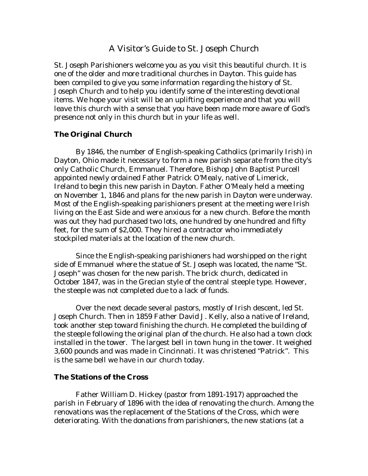# A Visitor's Guide to St. Joseph Church

St. Joseph Parishioners welcome you as you visit this beautiful church. It is one of the older and more traditional churches in Dayton. This guide has been compiled to give you some information regarding the history of St. Joseph Church and to help you identify some of the interesting devotional items. We hope your visit will be an uplifting experience and that you will leave this church with a sense that you have been made more aware of God's presence not only in this church but in your life as well.

### **The Original Church**

 By 1846, the number of English-speaking Catholics (primarily Irish) in Dayton, Ohio made it necessary to form a new parish separate from the city's only Catholic Church, Emmanuel. Therefore, Bishop John Baptist Purcell appointed newly ordained Father Patrick O'Mealy, native of Limerick, Ireland to begin this new parish in Dayton. Father O'Mealy held a meeting on November 1, 1846 and plans for the new parish in Dayton were underway. Most of the English-speaking parishioners present at the meeting were Irish living on the East Side and were anxious for a new church. Before the month was out they had purchased two lots, one hundred by one hundred and fifty feet, for the sum of \$2,000. They hired a contractor who immediately stockpiled materials at the location of the new church.

 Since the English-speaking parishioners had worshipped on the right side of Emmanuel where the statue of St. Joseph was located, the name "St. Joseph" was chosen for the new parish. The brick church, dedicated in October 1847, was in the Grecian style of the central steeple type. However, the steeple was not completed due to a lack of funds.

 Over the next decade several pastors, mostly of Irish descent, led St. Joseph Church. Then in 1859 Father David J. Kelly, also a native of Ireland, took another step toward finishing the church. He completed the building of the steeple following the original plan of the church. He also had a town clock installed in the tower. The largest bell in town hung in the tower. It weighed 3,600 pounds and was made in Cincinnati. It was christened "Patrick". This is the same bell we have in our church today.

### **The Stations of the Cross**

 Father William D. Hickey (pastor from 1891-1917) approached the parish in February of 1896 with the idea of renovating the church. Among the renovations was the replacement of the Stations of the Cross, which were deteriorating. With the donations from parishioners, the new stations (at a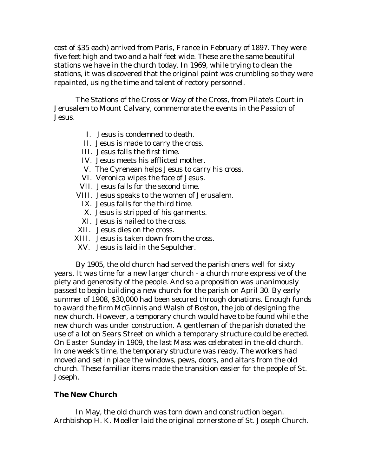cost of \$35 each) arrived from Paris, France in February of 1897. They were five feet high and two and a half feet wide. These are the same beautiful stations we have in the church today. In 1969, while trying to clean the stations, it was discovered that the original paint was crumbling so they were repainted, using the time and talent of rectory personnel.

 The Stations of the Cross or Way of the Cross, from Pilate's Court in Jerusalem to Mount Calvary, commemorate the events in the Passion of Jesus.

- I. Jesus is condemned to death.
- II. Jesus is made to carry the cross.
- III. Jesus falls the first time.
- IV. Jesus meets his afflicted mother.
- V. The Cyrenean helps Jesus to carry his cross.
- VI. Veronica wipes the face of Jesus.
- VII. Jesus falls for the second time.
- VIII. Jesus speaks to the women of Jerusalem.
	- IX. Jesus falls for the third time.
	- X. Jesus is stripped of his garments.
	- XI. Jesus is nailed to the cross.
- XII. Jesus dies on the cross.
- XIII. Jesus is taken down from the cross.
- XV. Jesus is laid in the Sepulcher.

 By 1905, the old church had served the parishioners well for sixty years. It was time for a new larger church - a church more expressive of the piety and generosity of the people. And so a proposition was unanimously passed to begin building a new church for the parish on April 30. By early summer of 1908, \$30,000 had been secured through donations. Enough funds to award the firm McGinnis and Walsh of Boston, the job of designing the new church. However, a temporary church would have to be found while the new church was under construction. A gentleman of the parish donated the use of a lot on Sears Street on which a temporary structure could be erected. On Easter Sunday in 1909, the last Mass was celebrated in the old church. In one week's time, the temporary structure was ready. The workers had moved and set in place the windows, pews, doors, and altars from the old church. These familiar items made the transition easier for the people of St. Joseph.

# **The New Church**

 In May, the old church was torn down and construction began. Archbishop H. K. Moeller laid the original cornerstone of St. Joseph Church.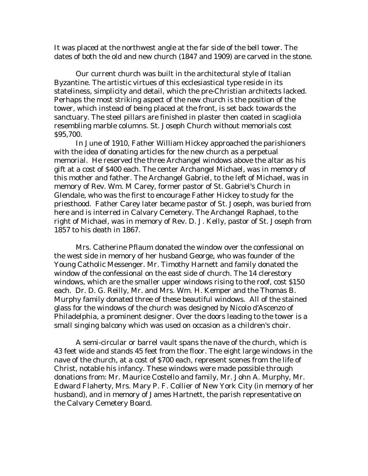It was placed at the northwest angle at the far side of the bell tower. The dates of both the old and new church (1847 and 1909) are carved in the stone.

 Our current church was built in the architectural style of Italian Byzantine. The artistic virtues of this ecclesiastical type reside in its stateliness, simplicity and detail, which the pre-Christian architects lacked. Perhaps the most striking aspect of the new church is the position of the tower, which instead of being placed at the front, is set back towards the sanctuary. The steel pillars are finished in plaster then coated in scagliola resembling marble columns. St. Joseph Church without memorials cost \$95,700.

 In June of 1910, Father William Hickey approached the parishioners with the idea of donating articles for the new church as a perpetual memorial. He reserved the three Archangel windows above the altar as his gift at a cost of \$400 each. The center Archangel Michael, was in memory of this mother and father. The Archangel Gabriel, to the left of Michael, was in memory of Rev. Wm. M Carey, former pastor of St. Gabriel's Church in Glendale, who was the first to encourage Father Hickey to study for the priesthood. Father Carey later became pastor of St. Joseph, was buried from here and is interred in Calvary Cemetery. The Archangel Raphael, to the right of Michael, was in memory of Rev. D. J. Kelly, pastor of St. Joseph from 1857 to his death in 1867.

 Mrs. Catherine Pflaum donated the window over the confessional on the west side in memory of her husband George, who was founder of the Young Catholic Messenger. Mr. Timothy Harnett and family donated the window of the confessional on the east side of church. The 14 clerestory windows, which are the smaller upper windows rising to the roof, cost \$150 each. Dr. D. G. Reilly, Mr. and Mrs. Wm. H. Kemper and the Thomas B. Murphy family donated three of these beautiful windows. All of the stained glass for the windows of the church was designed by Nicolo d'Ascenzo of Philadelphia, a prominent designer. Over the doors leading to the tower is a small singing balcony which was used on occasion as a children's choir.

 A semi-circular or barrel vault spans the nave of the church, which is 43 feet wide and stands 45 feet from the floor. The eight large windows in the nave of the church, at a cost of \$700 each, represent scenes from the life of Christ, notable his infancy. These windows were made possible through donations from: Mr. Maurice Costello and family, Mr. John A. Murphy, Mr. Edward Flaherty, Mrs. Mary P. F. Collier of New York City (in memory of her husband), and in memory of James Hartnett, the parish representative on the Calvary Cemetery Board.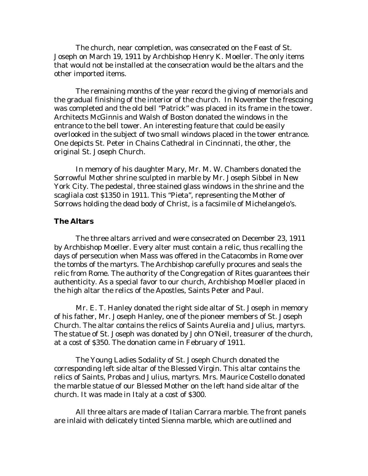The church, near completion, was consecrated on the Feast of St. Joseph on March 19, 1911 by Archbishop Henry K. Moeller. The only items that would not be installed at the consecration would be the altars and the other imported items.

 The remaining months of the year record the giving of memorials and the gradual finishing of the interior of the church. In November the frescoing was completed and the old bell "Patrick" was placed in its frame in the tower. Architects McGinnis and Walsh of Boston donated the windows in the entrance to the bell tower. An interesting feature that could be easily overlooked in the subject of two small windows placed in the tower entrance. One depicts St. Peter in Chains Cathedral in Cincinnati, the other, the original St. Joseph Church.

 In memory of his daughter Mary, Mr. M. W. Chambers donated the Sorrowful Mother shrine sculpted in marble by Mr. Joseph Sibbel in New York City. The pedestal, three stained glass windows in the shrine and the scagliala cost \$1350 in 1911. This "Pieta", representing the Mother of Sorrows holding the dead body of Christ, is a facsimile of Michelangelo's.

# **The Altars**

 The three altars arrived and were consecrated on December 23, 1911 by Archbishop Moeller. Every alter must contain a relic, thus recalling the days of persecution when Mass was offered in the Catacombs in Rome over the tombs of the martyrs. The Archbishop carefully procures and seals the relic from Rome. The authority of the Congregation of Rites guarantees their authenticity. As a special favor to our church, Archbishop Moeller placed in the high altar the relics of the Apostles, Saints Peter and Paul.

 Mr. E. T. Hanley donated the right side altar of St. Joseph in memory of his father, Mr. Joseph Hanley, one of the pioneer members of St. Joseph Church. The altar contains the relics of Saints Aurelia and Julius, martyrs. The statue of St. Joseph was donated by John O'Neil, treasurer of the church, at a cost of \$350. The donation came in February of 1911.

 The Young Ladies Sodality of St. Joseph Church donated the corresponding left side altar of the Blessed Virgin. This altar contains the relics of Saints, Probas and Julius, martyrs. Mrs. Maurice Costello donated the marble statue of our Blessed Mother on the left hand side altar of the church. It was made in Italy at a cost of \$300.

 All three altars are made of Italian Carrara marble. The front panels are inlaid with delicately tinted Sienna marble, which are outlined and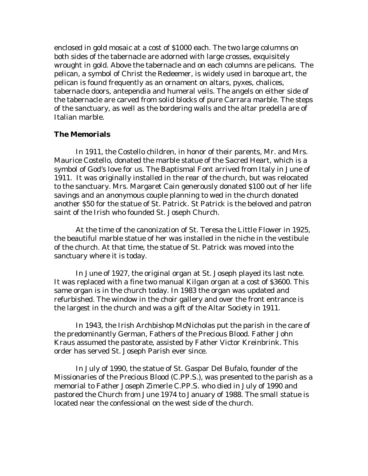enclosed in gold mosaic at a cost of \$1000 each. The two large columns on both sides of the tabernacle are adorned with large crosses, exquisitely wrought in gold. Above the tabernacle and on each columns are pelicans. The pelican, a symbol of Christ the Redeemer, is widely used in baroque art, the pelican is found frequently as an ornament on altars, pyxes, chalices, tabernacle doors, antependia and humeral veils. The angels on either side of the tabernacle are carved from solid blocks of pure Carrara marble. The steps of the sanctuary, as well as the bordering walls and the altar predella are of Italian marble.

### **The Memorials**

 In 1911, the Costello children, in honor of their parents, Mr. and Mrs. Maurice Costello, donated the marble statue of the Sacred Heart, which is a symbol of God's love for us. The Baptismal Font arrived from Italy in June of 1911. It was originally installed in the rear of the church, but was relocated to the sanctuary. Mrs. Margaret Cain generously donated \$100 out of her life savings and an anonymous couple planning to wed in the church donated another \$50 for the statue of St. Patrick. St Patrick is the beloved and patron saint of the Irish who founded St. Joseph Church.

 At the time of the canonization of St. Teresa the Little Flower in 1925, the beautiful marble statue of her was installed in the niche in the vestibule of the church. At that time, the statue of St. Patrick was moved into the sanctuary where it is today.

 In June of 1927, the original organ at St. Joseph played its last note. It was replaced with a fine two manual Kilgan organ at a cost of \$3600. This same organ is in the church today. In 1983 the organ was updated and refurbished. The window in the choir gallery and over the front entrance is the largest in the church and was a gift of the Altar Society in 1911.

 In 1943, the Irish Archbishop McNicholas put the parish in the care of the predominantly German, Fathers of the Precious Blood. Father John Kraus assumed the pastorate, assisted by Father Victor Kreinbrink. This order has served St. Joseph Parish ever since.

 In July of 1990, the statue of St. Gaspar Del Bufalo, founder of the Missionaries of the Precious Blood (C.PP.S.), was presented to the parish as a memorial to Father Joseph Zimerle C.PP.S. who died in July of 1990 and pastored the Church from June 1974 to January of 1988. The small statue is located near the confessional on the west side of the church.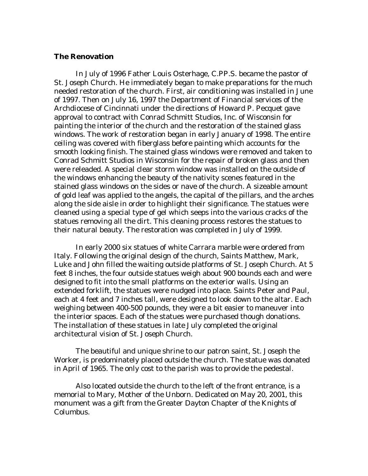## **The Renovation**

 In July of 1996 Father Louis Osterhage, C.PP.S. became the pastor of St. Joseph Church. He immediately began to make preparations for the much needed restoration of the church. First, air conditioning was installed in June of 1997. Then on July 16, 1997 the Department of Financial services of the Archdiocese of Cincinnati under the directions of Howard P. Pecquet gave approval to contract with Conrad Schmitt Studios, Inc. of Wisconsin for painting the interior of the church and the restoration of the stained glass windows. The work of restoration began in early January of 1998. The entire ceiling was covered with fiberglass before painting which accounts for the smooth looking finish. The stained glass windows were removed and taken to Conrad Schmitt Studios in Wisconsin for the repair of broken glass and then were releaded. A special clear storm window was installed on the outside of the windows enhancing the beauty of the nativity scenes featured in the stained glass windows on the sides or nave of the church. A sizeable amount of gold leaf was applied to the angels, the capital of the pillars, and the arches along the side aisle in order to highlight their significance. The statues were cleaned using a special type of gel which seeps into the various cracks of the statues removing all the dirt. This cleaning process restores the statues to their natural beauty. The restoration was completed in July of 1999.

 In early 2000 six statues of white Carrara marble were ordered from Italy. Following the original design of the church, Saints Matthew, Mark, Luke and John filled the waiting outside platforms of St. Joseph Church. At 5 feet 8 inches, the four outside statues weigh about 900 bounds each and were designed to fit into the small platforms on the exterior walls. Using an extended forklift, the statues were nudged into place. Saints Peter and Paul, each at 4 feet and 7 inches tall, were designed to look down to the altar. Each weighing between 400-500 pounds, they were a bit easier to maneuver into the interior spaces. Each of the statues were purchased though donations. The installation of these statues in late July completed the original architectural vision of St. Joseph Church.

 The beautiful and unique shrine to our patron saint, St. Joseph the Worker, is predominately placed outside the church. The statue was donated in April of 1965. The only cost to the parish was to provide the pedestal.

 Also located outside the church to the left of the front entrance, is a memorial to Mary, Mother of the Unborn. Dedicated on May 20, 2001, this monument was a gift from the Greater Dayton Chapter of the Knights of Columbus.